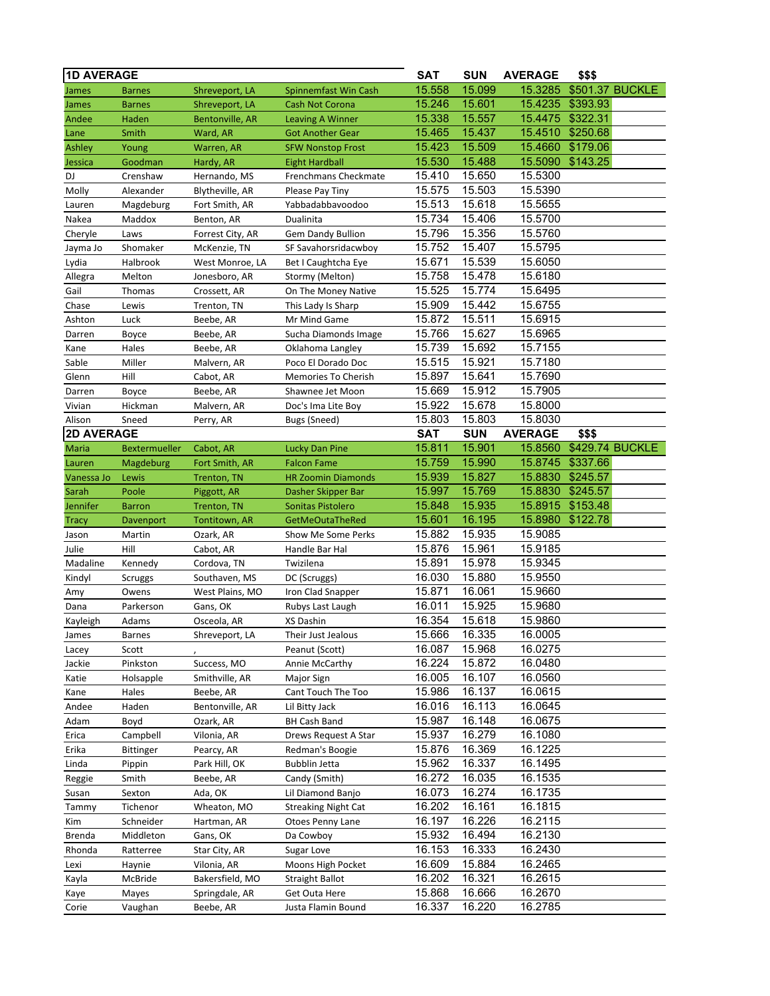| <b>1D AVERAGE</b> |                      |                            |                                                 | <b>SAT</b>       | <b>SUN</b>       | <b>AVERAGE</b>     | \$\$\$   |                 |
|-------------------|----------------------|----------------------------|-------------------------------------------------|------------------|------------------|--------------------|----------|-----------------|
| James             | <b>Barnes</b>        | Shreveport, LA             | Spinnemfast Win Cash                            | 15.558           | 15.099           | 15.3285            |          | \$501.37 BUCKLE |
| James             | <b>Barnes</b>        | Shreveport, LA             | <b>Cash Not Corona</b>                          | 15.246           | 15.601           | 15.4235            | \$393.93 |                 |
| Andee             | Haden                | <b>Bentonville, AR</b>     | <b>Leaving A Winner</b>                         | 15.338           | 15.557           | 15.4475            | \$322.31 |                 |
| Lane              | Smith                | Ward, AR                   | <b>Got Another Gear</b>                         | 15.465           | 15.437           | 15.4510            | \$250.68 |                 |
| Ashley            | Young                | Warren, AR                 | <b>SFW Nonstop Frost</b>                        | 15.423           | 15.509           | 15.4660            | \$179.06 |                 |
| Jessica           | Goodman              | Hardy, AR                  | <b>Eight Hardball</b>                           | 15.530           | 15.488           | 15.5090            | \$143.25 |                 |
| DJ                | Crenshaw             | Hernando, MS               | Frenchmans Checkmate                            | 15.410           | 15.650           | 15.5300            |          |                 |
| Molly             | Alexander            | Blytheville, AR            | Please Pay Tiny                                 | 15.575           | 15.503           | 15.5390            |          |                 |
| Lauren            | Magdeburg            | Fort Smith, AR             | Yabbadabbavoodoo                                | 15.513           | 15.618           | 15.5655            |          |                 |
| Nakea             | Maddox               | Benton, AR                 | Dualinita                                       | 15.734           | 15.406           | 15.5700            |          |                 |
| Cheryle           | Laws                 | Forrest City, AR           | Gem Dandy Bullion                               | 15.796           | 15.356           | 15.5760            |          |                 |
| Jayma Jo          | Shomaker             | McKenzie, TN               | SF Savahorsridacwboy                            | 15.752           | 15.407           | 15.5795            |          |                 |
| Lydia             | Halbrook             | West Monroe, LA            | Bet I Caughtcha Eye                             | 15.671           | 15.539           | 15.6050            |          |                 |
| Allegra           | Melton               | Jonesboro, AR              | Stormy (Melton)                                 | 15.758           | 15.478           | 15.6180            |          |                 |
| Gail              | Thomas               | Crossett, AR               | On The Money Native                             | 15.525           | 15.774           | 15.6495            |          |                 |
| Chase             | Lewis                | Trenton, TN                | This Lady Is Sharp                              | 15.909           | 15.442           | 15.6755            |          |                 |
| Ashton            | Luck                 | Beebe, AR                  | Mr Mind Game                                    | 15.872           | 15.511           | 15.6915            |          |                 |
| Darren            | Boyce                | Beebe, AR                  | Sucha Diamonds Image                            | 15.766           | 15.627           | 15.6965            |          |                 |
| Kane              | Hales                | Beebe, AR                  | Oklahoma Langley                                | 15.739           | 15.692           | 15.7155            |          |                 |
| Sable             | Miller               | Malvern, AR                | Poco El Dorado Doc                              | 15.515           | 15.921           | 15.7180            |          |                 |
| Glenn             | Hill                 | Cabot, AR                  | Memories To Cherish                             | 15.897           | 15.641           | 15.7690            |          |                 |
| Darren            | Boyce                | Beebe, AR                  | Shawnee Jet Moon                                | 15.669           | 15.912           | 15.7905            |          |                 |
| Vivian            | Hickman              | Malvern, AR                | Doc's Ima Lite Boy                              | 15.922           | 15.678           | 15.8000            |          |                 |
| Alison            | Sneed                | Perry, AR                  | Bugs (Sneed)                                    | 15.803           | 15.803           | 15.8030            |          |                 |
| <b>2D AVERAGE</b> |                      |                            |                                                 | <b>SAT</b>       | <b>SUN</b>       | <b>AVERAGE</b>     | \$\$\$   |                 |
| Maria             | <b>Bextermueller</b> | Cabot, AR                  | Lucky Dan Pine                                  | 15.811           | 15.901           | 15.8560            |          | \$429.74 BUCKLE |
| Lauren            | Magdeburg            | Fort Smith, AR             | <b>Falcon Fame</b>                              | 15.759           | 15.990           | 15.8745            | \$337.66 |                 |
| Vanessa Jo        | Lewis                | <b>Trenton, TN</b>         | <b>HR Zoomin Diamonds</b>                       | 15.939           | 15.827           | 15.8830            | \$245.57 |                 |
| Sarah             | Poole                | Piggott, AR                | Dasher Skipper Bar                              | 15.997           | 15.769           | 15.8830            | \$245.57 |                 |
| Jennifer          | <b>Barron</b>        | <b>Trenton, TN</b>         | <b>Sonitas Pistolero</b>                        | 15.848           | 15.935           | 15.8915            | \$153.48 |                 |
| Tracy             | Davenport            | Tontitown, AR              | <b>GetMeOutaTheRed</b>                          | 15.601           | 16.195           | 15.8980            | \$122.78 |                 |
| Jason             | Martin               | Ozark, AR                  | Show Me Some Perks                              | 15.882           | 15.935           | 15.9085            |          |                 |
| Julie             | Hill                 | Cabot, AR                  | Handle Bar Hal                                  | 15.876           | 15.961           | 15.9185            |          |                 |
| Madaline          | Kennedy              | Cordova, TN                | Twizilena                                       | 15.891           | 15.978           | 15.9345            |          |                 |
| Kindyl            | Scruggs              | Southaven, MS              | DC (Scruggs)                                    | 16.030           | 15.880           | 15.9550            |          |                 |
| Amy               | Owens                | West Plains, MO            | Iron Clad Snapper                               | 15.871           | 16.061           | 15.9660            |          |                 |
| Dana              | Parkerson            | Gans, OK                   | Rubys Last Laugh                                | 16.011           | 15.925           | 15.9680            |          |                 |
| Kayleigh          | Adams                | Osceola, AR                | XS Dashin                                       | 16.354           | 15.618           | 15.9860            |          |                 |
| James             | Barnes               | Shreveport, LA             | Their Just Jealous                              | 15.666           | 16.335           | 16.0005            |          |                 |
| Lacey             | Scott                |                            | Peanut (Scott)                                  | 16.087           | 15.968           | 16.0275            |          |                 |
| Jackie            | Pinkston             | Success, MO                | Annie McCarthy                                  | 16.224           | 15.872           | 16.0480            |          |                 |
| Katie             | Holsapple            | Smithville, AR             | Major Sign                                      | 16.005           | 16.107           | 16.0560            |          |                 |
| Kane              | Hales                | Beebe, AR                  | Cant Touch The Too                              | 15.986           | 16.137           | 16.0615            |          |                 |
| Andee             | Haden                | Bentonville, AR            | Lil Bitty Jack                                  | 16.016           | 16.113           | 16.0645            |          |                 |
| Adam              | Boyd                 | Ozark, AR                  | BH Cash Band                                    | 15.987           | 16.148           | 16.0675<br>16.1080 |          |                 |
| Erica             | Campbell             | Vilonia, AR                | Drews Request A Star                            | 15.937<br>15.876 | 16.279<br>16.369 | 16.1225            |          |                 |
| Erika             | <b>Bittinger</b>     | Pearcy, AR                 | Redman's Boogie                                 | 15.962           | 16.337           | 16.1495            |          |                 |
| Linda             | Pippin<br>Smith      | Park Hill, OK<br>Beebe, AR | Bubblin Jetta<br>Candy (Smith)                  | 16.272           | 16.035           | 16.1535            |          |                 |
| Reggie            |                      |                            |                                                 | 16.073           | 16.274           | 16.1735            |          |                 |
| Susan<br>Tammy    | Sexton<br>Tichenor   | Ada, OK<br>Wheaton, MO     | Lil Diamond Banjo<br><b>Streaking Night Cat</b> | 16.202           | 16.161           | 16.1815            |          |                 |
| Kim               | Schneider            | Hartman, AR                | Otoes Penny Lane                                | 16.197           | 16.226           | 16.2115            |          |                 |
| Brenda            | Middleton            | Gans, OK                   | Da Cowboy                                       | 15.932           | 16.494           | 16.2130            |          |                 |
| Rhonda            | Ratterree            | Star City, AR              | Sugar Love                                      | 16.153           | 16.333           | 16.2430            |          |                 |
| Lexi              | Haynie               | Vilonia, AR                | Moons High Pocket                               | 16.609           | 15.884           | 16.2465            |          |                 |
| Kayla             | McBride              | Bakersfield, MO            | <b>Straight Ballot</b>                          | 16.202           | 16.321           | 16.2615            |          |                 |
| Kaye              | Mayes                | Springdale, AR             | Get Outa Here                                   | 15.868           | 16.666           | 16.2670            |          |                 |
| Corie             | Vaughan              | Beebe, AR                  | Justa Flamin Bound                              | 16.337           | 16.220           | 16.2785            |          |                 |
|                   |                      |                            |                                                 |                  |                  |                    |          |                 |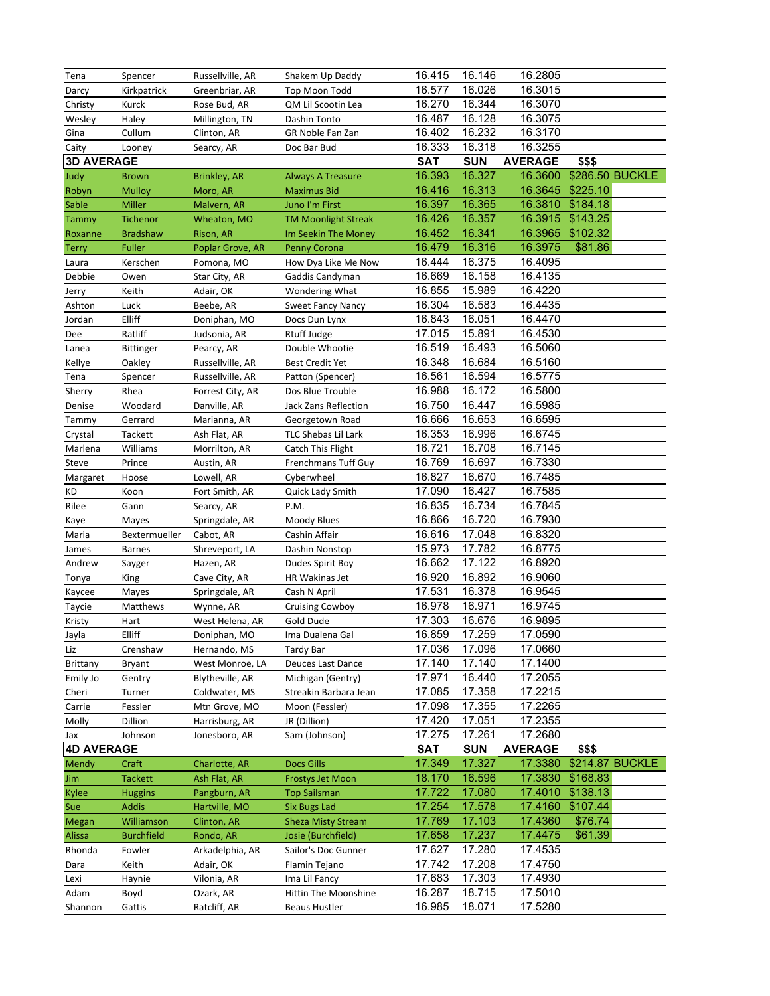| Tena              | Spencer            | Russellville, AR                | Shakem Up Daddy                        | 16.415           | 16.146           | 16.2805            |                 |                 |
|-------------------|--------------------|---------------------------------|----------------------------------------|------------------|------------------|--------------------|-----------------|-----------------|
| Darcy             | Kirkpatrick        | Greenbriar, AR                  | Top Moon Todd                          | 16.577           | 16.026           | 16.3015            |                 |                 |
| Christy           | Kurck              | Rose Bud, AR                    | QM Lil Scootin Lea                     | 16.270           | 16.344           | 16.3070            |                 |                 |
| Wesley            | Haley              | Millington, TN                  | Dashin Tonto                           | 16.487           | 16.128           | 16.3075            |                 |                 |
| Gina              | Cullum             | Clinton, AR                     | GR Noble Fan Zan                       | 16.402           | 16.232           | 16.3170            |                 |                 |
| Caity             | Looney             | Searcy, AR                      | Doc Bar Bud                            | 16.333           | 16.318           | 16.3255            |                 |                 |
| <b>3D AVERAGE</b> |                    |                                 |                                        | <b>SAT</b>       | <b>SUN</b>       | <b>AVERAGE</b>     | \$\$\$          |                 |
| Judy              | <b>Brown</b>       | Brinkley, AR                    | <b>Always A Treasure</b>               | 16.393           | 16.327           | 16.3600            | \$286.50 BUCKLE |                 |
| Robyn             | <b>Mulloy</b>      | Moro, AR                        | <b>Maximus Bid</b>                     | 16.416           | 16.313           | 16.3645            | \$225.10        |                 |
| Sable             | Miller             | Malvern, AR                     | Juno I'm First                         | 16.397           | 16.365           | 16.3810            | \$184.18        |                 |
| Tammy             | Tichenor           | Wheaton, MO                     | <b>TM Moonlight Streak</b>             | 16.426           | 16.357           | 16.3915            | \$143.25        |                 |
| Roxanne           | <b>Bradshaw</b>    | Rison, AR                       | Im Seekin The Money                    | 16.452           | 16.341           | 16.3965            | \$102.32        |                 |
| <b>Terry</b>      | <b>Fuller</b>      | Poplar Grove, AR                | <b>Penny Corona</b>                    | 16.479           | 16.316           | 16.3975            | \$81.86         |                 |
| Laura             | Kerschen           | Pomona, MO                      | How Dya Like Me Now                    | 16.444           | 16.375           | 16.4095            |                 |                 |
| Debbie            | Owen               | Star City, AR                   | Gaddis Candyman                        | 16.669           | 16.158           | 16.4135            |                 |                 |
| Jerry             | Keith              | Adair, OK                       | Wondering What                         | 16.855           | 15.989           | 16.4220            |                 |                 |
| Ashton            | Luck               | Beebe, AR                       | <b>Sweet Fancy Nancy</b>               | 16.304           | 16.583           | 16.4435            |                 |                 |
| Jordan            | Elliff             | Doniphan, MO                    | Docs Dun Lynx                          | 16.843           | 16.051           | 16.4470            |                 |                 |
| Dee               | Ratliff            | Judsonia, AR                    | Rtuff Judge                            | 17.015           | 15.891           | 16.4530            |                 |                 |
| Lanea             | <b>Bittinger</b>   | Pearcy, AR                      | Double Whootie                         | 16.519           | 16.493           | 16.5060            |                 |                 |
| Kellye            | Oakley             | Russellville, AR                | <b>Best Credit Yet</b>                 | 16.348           | 16.684           | 16.5160            |                 |                 |
| Tena              | Spencer            | Russellville, AR                | Patton (Spencer)                       | 16.561           | 16.594           | 16.5775            |                 |                 |
| Sherry            | Rhea               | Forrest City, AR                | Dos Blue Trouble                       | 16.988           | 16.172           | 16.5800            |                 |                 |
| Denise            | Woodard            | Danville, AR                    | Jack Zans Reflection                   | 16.750           | 16.447           | 16.5985            |                 |                 |
| Tammy             | Gerrard            | Marianna, AR                    | Georgetown Road                        | 16.666           | 16.653           | 16.6595            |                 |                 |
| Crystal           | Tackett            | Ash Flat, AR                    | TLC Shebas Lil Lark                    | 16.353           | 16.996           | 16.6745            |                 |                 |
| Marlena           | Williams           | Morrilton, AR                   | Catch This Flight                      | 16.721           | 16.708           | 16.7145            |                 |                 |
| Steve             | Prince             | Austin, AR                      | <b>Frenchmans Tuff Guy</b>             | 16.769           | 16.697           | 16.7330            |                 |                 |
| Margaret          | Hoose              | Lowell, AR                      | Cyberwheel                             | 16.827           | 16.670           | 16.7485            |                 |                 |
| KD                | Koon               | Fort Smith, AR                  | Quick Lady Smith                       | 17.090           | 16.427           | 16.7585            |                 |                 |
| Rilee             | Gann               | Searcy, AR                      | P.M.                                   | 16.835           | 16.734           | 16.7845            |                 |                 |
| Kaye              | Mayes              | Springdale, AR                  | Moody Blues                            | 16.866           | 16.720           | 16.7930            |                 |                 |
| Maria             | Bextermueller      | Cabot, AR                       | Cashin Affair                          | 16.616           | 17.048           | 16.8320            |                 |                 |
| James             | <b>Barnes</b>      | Shreveport, LA                  | Dashin Nonstop                         | 15.973           | 17.782           | 16.8775            |                 |                 |
| Andrew            | Sayger             | Hazen, AR                       | Dudes Spirit Boy                       | 16.662           | 17.122           | 16.8920            |                 |                 |
| Tonya             | King               | Cave City, AR                   | HR Wakinas Jet                         | 16.920           | 16.892           | 16.9060            |                 |                 |
| Kaycee            | Mayes              | Springdale, AR                  | Cash N April                           | 17.531           | 16.378           | 16.9545            |                 |                 |
| Taycie            | Matthews           | Wynne, AR                       | <b>Cruising Cowboy</b>                 | 16.978           | 16.971           | 16.9745            |                 |                 |
| Kristy            | Hart               | West Helena, AR                 | Gold Dude                              | 17.303           | 16.676           | 16.9895            |                 |                 |
| Jayla             | Elliff             | Doniphan, MO                    | Ima Dualena Gal                        | 16.859           | 17.259           | 17.0590            |                 |                 |
| Liz               | Crenshaw           | Hernando, MS                    | Tardy Bar                              | 17.036<br>17.140 | 17.096<br>17.140 | 17.0660<br>17.1400 |                 |                 |
| Brittany          | Bryant             | West Monroe, LA                 | Deuces Last Dance<br>Michigan (Gentry) | 17.971           | 16.440           | 17.2055            |                 |                 |
| Emily Jo          | Gentry<br>Turner   | Blytheville, AR                 | Streakin Barbara Jean                  | 17.085           | 17.358           | 17.2215            |                 |                 |
| Cheri             |                    | Coldwater, MS                   | Moon (Fessler)                         | 17.098           | 17.355           | 17.2265            |                 |                 |
| Carrie<br>Molly   | Fessler<br>Dillion | Mtn Grove, MO<br>Harrisburg, AR | JR (Dillion)                           | 17.420           | 17.051           | 17.2355            |                 |                 |
| Jax               | Johnson            | Jonesboro, AR                   | Sam (Johnson)                          | 17.275           | 17.261           | 17.2680            |                 |                 |
| <b>4D AVERAGE</b> |                    |                                 |                                        | SAT              | <b>SUN</b>       | <b>AVERAGE</b>     | \$\$\$          |                 |
| Mendy             | Craft              | Charlotte, AR                   | <b>Docs Gills</b>                      | 17.349           | 17.327           | 17.3380            |                 | \$214.87 BUCKLE |
| Jim               | Tackett            | Ash Flat, AR                    | <b>Frostys Jet Moon</b>                | 18.170           | 16.596           | 17.3830            | \$168.83        |                 |
| Kylee             | <b>Huggins</b>     | Pangburn, AR                    | <b>Top Sailsman</b>                    | 17.722           | 17.080           | 17.4010            | \$138.13        |                 |
| Sue               | Addis              | Hartville, MO                   | <b>Six Bugs Lad</b>                    | 17.254           | 17.578           | 17.4160            | \$107.44        |                 |
| <b>Megan</b>      | Williamson         | Clinton, AR                     | <b>Sheza Misty Stream</b>              | 17.769           | 17.103           | 17.4360            | \$76.74         |                 |
| Alissa            | <b>Burchfield</b>  | Rondo, AR                       | Josie (Burchfield)                     | 17.658           | 17.237           | 17.4475            | \$61.39         |                 |
| Rhonda            | Fowler             | Arkadelphia, AR                 | Sailor's Doc Gunner                    | 17.627           | 17.280           | 17.4535            |                 |                 |
| Dara              | Keith              | Adair, OK                       | Flamin Tejano                          | 17.742           | 17.208           | 17.4750            |                 |                 |
| Lexi              | Haynie             | Vilonia, AR                     | Ima Lil Fancy                          | 17.683           | 17.303           | 17.4930            |                 |                 |
| Adam              | Boyd               | Ozark, AR                       | Hittin The Moonshine                   | 16.287           | 18.715           | 17.5010            |                 |                 |
|                   |                    | Ratcliff, AR                    | Beaus Hustler                          | 16.985           | 18.071           | 17.5280            |                 |                 |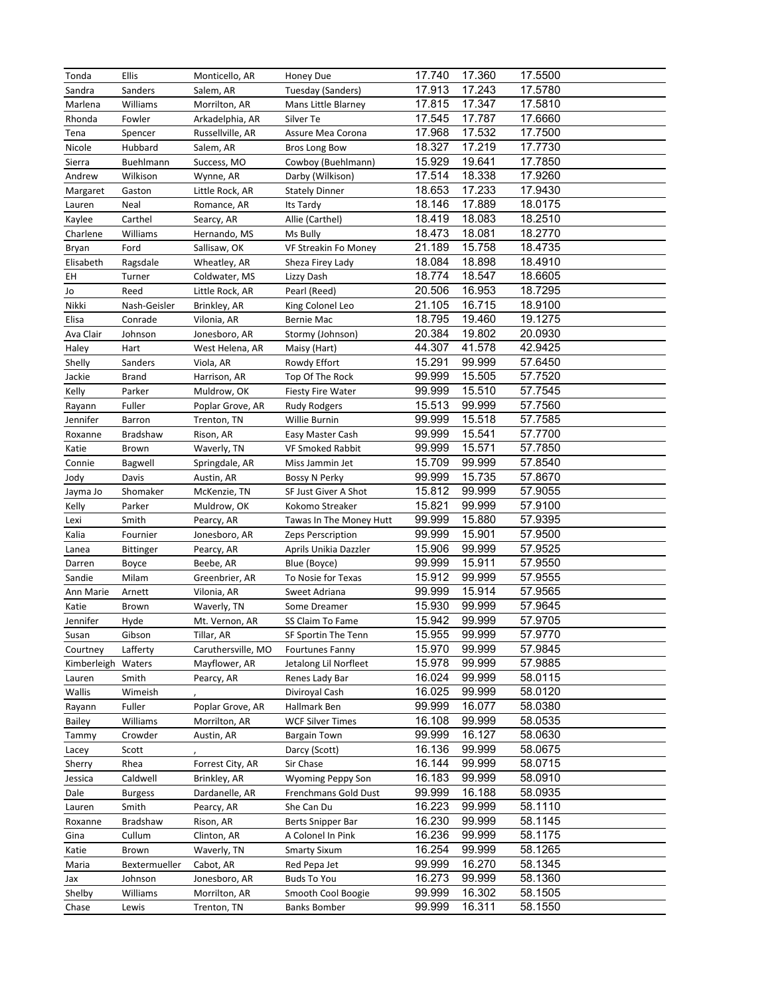| Tonda              | Ellis          | Monticello, AR     | Honey Due                | 17.740 | 17.360 | 17.5500 |
|--------------------|----------------|--------------------|--------------------------|--------|--------|---------|
| Sandra             | Sanders        | Salem, AR          | Tuesday (Sanders)        | 17.913 | 17.243 | 17.5780 |
| Marlena            | Williams       | Morrilton, AR      | Mans Little Blarney      | 17.815 | 17.347 | 17.5810 |
| Rhonda             | Fowler         | Arkadelphia, AR    | Silver Te                | 17.545 | 17.787 | 17.6660 |
| Tena               | Spencer        | Russellville, AR   | Assure Mea Corona        | 17.968 | 17.532 | 17.7500 |
| Nicole             | Hubbard        | Salem, AR          | <b>Bros Long Bow</b>     | 18.327 | 17.219 | 17.7730 |
|                    |                |                    |                          |        |        |         |
| Sierra             | Buehlmann      | Success, MO        | Cowboy (Buehlmann)       | 15.929 | 19.641 | 17.7850 |
| Andrew             | Wilkison       | Wynne, AR          | Darby (Wilkison)         | 17.514 | 18.338 | 17.9260 |
| Margaret           | Gaston         | Little Rock, AR    | <b>Stately Dinner</b>    | 18.653 | 17.233 | 17.9430 |
| Lauren             | Neal           | Romance, AR        | Its Tardy                | 18.146 | 17.889 | 18.0175 |
| Kaylee             | Carthel        | Searcy, AR         | Allie (Carthel)          | 18.419 | 18.083 | 18.2510 |
| Charlene           | Williams       | Hernando, MS       | Ms Bully                 | 18.473 | 18.081 | 18.2770 |
| Bryan              | Ford           | Sallisaw, OK       | VF Streakin Fo Money     | 21.189 | 15.758 | 18.4735 |
| Elisabeth          | Ragsdale       | Wheatley, AR       | Sheza Firey Lady         | 18.084 | 18.898 | 18.4910 |
| EH                 | Turner         | Coldwater, MS      | Lizzy Dash               | 18.774 | 18.547 | 18.6605 |
| Jo                 | Reed           | Little Rock, AR    | Pearl (Reed)             | 20.506 | 16.953 | 18.7295 |
| Nikki              | Nash-Geisler   | Brinkley, AR       | King Colonel Leo         | 21.105 | 16.715 | 18.9100 |
| Elisa              | Conrade        | Vilonia, AR        | Bernie Mac               | 18.795 | 19.460 | 19.1275 |
| Ava Clair          | Johnson        | Jonesboro, AR      | Stormy (Johnson)         | 20.384 | 19.802 | 20.0930 |
| Haley              | Hart           | West Helena, AR    | Maisy (Hart)             | 44.307 | 41.578 | 42.9425 |
| Shelly             | Sanders        | Viola, AR          | Rowdy Effort             | 15.291 | 99.999 | 57.6450 |
| Jackie             | <b>Brand</b>   | Harrison, AR       | Top Of The Rock          | 99.999 | 15.505 | 57.7520 |
| Kelly              | Parker         | Muldrow, OK        | <b>Fiesty Fire Water</b> | 99.999 | 15.510 | 57.7545 |
| Rayann             | Fuller         | Poplar Grove, AR   | Rudy Rodgers             | 15.513 | 99.999 | 57.7560 |
| Jennifer           | Barron         | Trenton, TN        | Willie Burnin            | 99.999 | 15.518 | 57.7585 |
|                    | Bradshaw       |                    |                          | 99.999 | 15.541 | 57.7700 |
| Roxanne            |                | Rison, AR          | Easy Master Cash         |        | 15.571 |         |
| Katie              | Brown          | Waverly, TN        | VF Smoked Rabbit         | 99.999 |        | 57.7850 |
| Connie             | Bagwell        | Springdale, AR     | Miss Jammin Jet          | 15.709 | 99.999 | 57.8540 |
| Jody               | Davis          | Austin, AR         | Bossy N Perky            | 99.999 | 15.735 | 57.8670 |
| Jayma Jo           | Shomaker       | McKenzie, TN       | SF Just Giver A Shot     | 15.812 | 99.999 | 57.9055 |
| Kelly              | Parker         | Muldrow, OK        | Kokomo Streaker          | 15.821 | 99.999 | 57.9100 |
| Lexi               | Smith          | Pearcy, AR         | Tawas In The Money Hutt  | 99.999 | 15.880 | 57.9395 |
| Kalia              | Fournier       | Jonesboro, AR      | Zeps Perscription        | 99.999 | 15.901 | 57.9500 |
| Lanea              | Bittinger      | Pearcy, AR         | Aprils Unikia Dazzler    | 15.906 | 99.999 | 57.9525 |
| Darren             | Boyce          | Beebe, AR          | Blue (Boyce)             | 99.999 | 15.911 | 57.9550 |
| Sandie             | Milam          | Greenbrier, AR     | To Nosie for Texas       | 15.912 | 99.999 | 57.9555 |
| Ann Marie          | Arnett         | Vilonia, AR        | Sweet Adriana            | 99.999 | 15.914 | 57.9565 |
| Katie              | Brown          | Waverly, TN        | Some Dreamer             | 15.930 | 99.999 | 57.9645 |
| Jennifer           | Hyde           | Mt. Vernon, AR     | SS Claim To Fame         | 15.942 | 99.999 | 57.9705 |
| Susan              | Gibson         | Tillar, AR         | SF Sportin The Tenn      | 15.955 | 99.999 | 57.9770 |
| Courtney           | Lafferty       | Caruthersville, MO | <b>Fourtunes Fanny</b>   | 15.970 | 99.999 | 57.9845 |
| Kimberleigh Waters |                | Mayflower, AR      | Jetalong Lil Norfleet    | 15.978 | 99.999 | 57.9885 |
| Lauren             | Smith          | Pearcy, AR         | Renes Lady Bar           | 16.024 | 99.999 | 58.0115 |
| Wallis             | Wimeish        |                    | Diviroyal Cash           | 16.025 | 99.999 | 58.0120 |
| Rayann             | Fuller         | Poplar Grove, AR   | Hallmark Ben             | 99.999 | 16.077 | 58.0380 |
| Bailey             | Williams       | Morrilton, AR      | <b>WCF Silver Times</b>  | 16.108 | 99.999 | 58.0535 |
| Tammy              | Crowder        | Austin, AR         | Bargain Town             | 99.999 | 16.127 | 58.0630 |
| Lacey              | Scott          |                    | Darcy (Scott)            | 16.136 | 99.999 | 58.0675 |
|                    |                |                    |                          | 16.144 | 99.999 | 58.0715 |
| Sherry             | Rhea           | Forrest City, AR   | Sir Chase                |        |        |         |
| Jessica            | Caldwell       | Brinkley, AR       | Wyoming Peppy Son        | 16.183 | 99.999 | 58.0910 |
| Dale               | <b>Burgess</b> | Dardanelle, AR     | Frenchmans Gold Dust     | 99.999 | 16.188 | 58.0935 |
| Lauren             | Smith          | Pearcy, AR         | She Can Du               | 16.223 | 99.999 | 58.1110 |
| Roxanne            | Bradshaw       | Rison, AR          | Berts Snipper Bar        | 16.230 | 99.999 | 58.1145 |
| Gina               | Cullum         | Clinton, AR        | A Colonel In Pink        | 16.236 | 99.999 | 58.1175 |
| Katie              | Brown          | Waverly, TN        | <b>Smarty Sixum</b>      | 16.254 | 99.999 | 58.1265 |
| Maria              | Bextermueller  | Cabot, AR          | Red Pepa Jet             | 99.999 | 16.270 | 58.1345 |
| Jax                | Johnson        | Jonesboro, AR      | <b>Buds To You</b>       | 16.273 | 99.999 | 58.1360 |
| Shelby             | Williams       | Morrilton, AR      | Smooth Cool Boogie       | 99.999 | 16.302 | 58.1505 |
| Chase              | Lewis          | Trenton, TN        | <b>Banks Bomber</b>      | 99.999 | 16.311 | 58.1550 |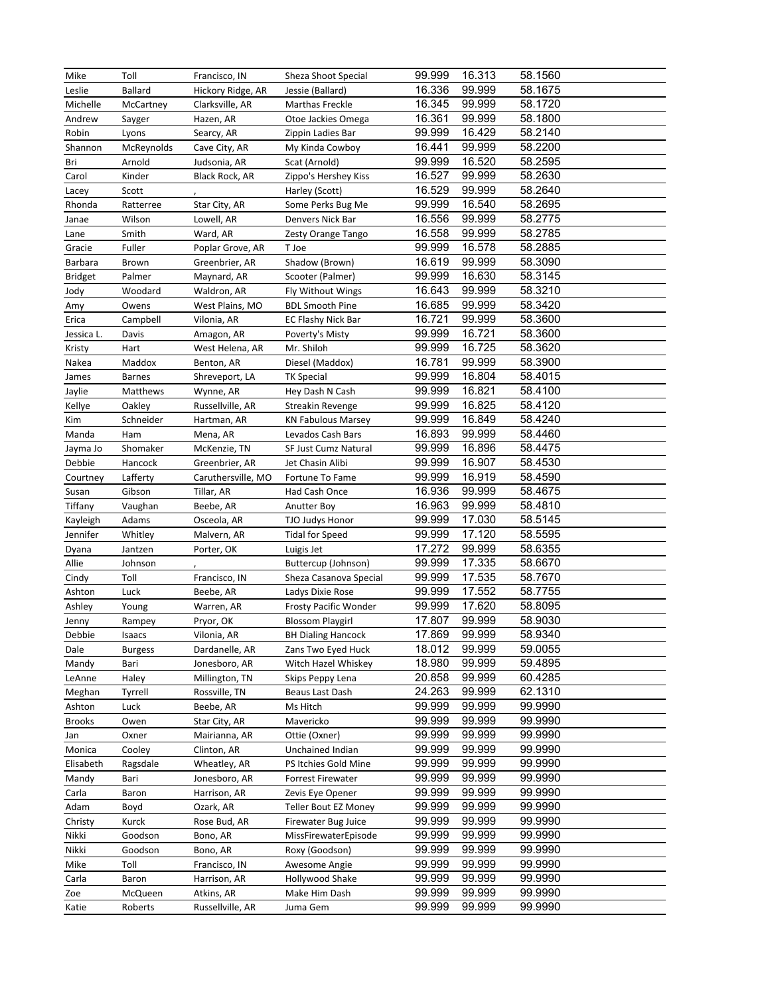| Mike          | Toll           | Francisco, IN      | Sheza Shoot Special       | 99.999 | 16.313 | 58.1560 |
|---------------|----------------|--------------------|---------------------------|--------|--------|---------|
| Leslie        | Ballard        | Hickory Ridge, AR  | Jessie (Ballard)          | 16.336 | 99.999 | 58.1675 |
| Michelle      | McCartney      | Clarksville, AR    | Marthas Freckle           | 16.345 | 99.999 | 58.1720 |
| Andrew        | Sayger         | Hazen, AR          | Otoe Jackies Omega        | 16.361 | 99.999 | 58.1800 |
| Robin         | Lyons          | Searcy, AR         | Zippin Ladies Bar         | 99.999 | 16.429 | 58.2140 |
| Shannon       | McReynolds     | Cave City, AR      | My Kinda Cowboy           | 16.441 | 99.999 | 58.2200 |
| Bri           | Arnold         | Judsonia, AR       | Scat (Arnold)             | 99.999 | 16.520 | 58.2595 |
| Carol         | Kinder         | Black Rock, AR     | Zippo's Hershey Kiss      | 16.527 | 99.999 | 58.2630 |
| Lacey         | Scott          |                    | Harley (Scott)            | 16.529 | 99.999 | 58.2640 |
| Rhonda        | Ratterree      | Star City, AR      | Some Perks Bug Me         | 99.999 | 16.540 | 58.2695 |
| Janae         | Wilson         | Lowell, AR         | Denvers Nick Bar          | 16.556 | 99.999 | 58.2775 |
| Lane          | Smith          | Ward, AR           | Zesty Orange Tango        | 16.558 | 99.999 | 58.2785 |
| Gracie        | Fuller         | Poplar Grove, AR   | T Joe                     | 99.999 | 16.578 | 58.2885 |
| Barbara       | Brown          | Greenbrier, AR     | Shadow (Brown)            | 16.619 | 99.999 | 58.3090 |
| Bridget       | Palmer         | Maynard, AR        | Scooter (Palmer)          | 99.999 | 16.630 | 58.3145 |
| Jody          | Woodard        | Waldron, AR        | <b>Fly Without Wings</b>  | 16.643 | 99.999 | 58.3210 |
| Amy           | Owens          | West Plains, MO    | <b>BDL Smooth Pine</b>    | 16.685 | 99.999 | 58.3420 |
| Erica         | Campbell       | Vilonia, AR        | EC Flashy Nick Bar        | 16.721 | 99.999 | 58.3600 |
| Jessica L.    | Davis          | Amagon, AR         | Poverty's Misty           | 99.999 | 16.721 | 58.3600 |
| Kristy        | Hart           | West Helena, AR    | Mr. Shiloh                | 99.999 | 16.725 | 58.3620 |
| Nakea         | Maddox         | Benton, AR         | Diesel (Maddox)           | 16.781 | 99.999 | 58.3900 |
| James         | <b>Barnes</b>  | Shreveport, LA     | TK Special                | 99.999 | 16.804 | 58.4015 |
| Jaylie        | Matthews       | Wynne, AR          | Hey Dash N Cash           | 99.999 | 16.821 | 58.4100 |
| Kellye        | Oakley         | Russellville, AR   | Streakin Revenge          | 99.999 | 16.825 | 58.4120 |
| Kim           | Schneider      | Hartman, AR        | <b>KN Fabulous Marsey</b> | 99.999 | 16.849 | 58.4240 |
| Manda         | Ham            | Mena, AR           | Levados Cash Bars         | 16.893 | 99.999 | 58.4460 |
| Jayma Jo      | Shomaker       | McKenzie, TN       | SF Just Cumz Natural      | 99.999 | 16.896 | 58.4475 |
| Debbie        | Hancock        | Greenbrier, AR     | Jet Chasin Alibi          | 99.999 | 16.907 | 58.4530 |
| Courtney      | Lafferty       | Caruthersville, MO | Fortune To Fame           | 99.999 | 16.919 | 58.4590 |
| Susan         | Gibson         | Tillar, AR         | Had Cash Once             | 16.936 | 99.999 | 58.4675 |
| Tiffany       | Vaughan        | Beebe, AR          | Anutter Boy               | 16.963 | 99.999 | 58.4810 |
| Kayleigh      | Adams          | Osceola, AR        | TJO Judys Honor           | 99.999 | 17.030 | 58.5145 |
| Jennifer      | Whitley        | Malvern, AR        | Tidal for Speed           | 99.999 | 17.120 | 58.5595 |
| Dyana         | Jantzen        | Porter, OK         | Luigis Jet                | 17.272 | 99.999 | 58.6355 |
| Allie         | Johnson        |                    | Buttercup (Johnson)       | 99.999 | 17.335 | 58.6670 |
| Cindy         | Toll           | Francisco, IN      | Sheza Casanova Special    | 99.999 | 17.535 | 58.7670 |
| Ashton        | Luck           | Beebe, AR          | Ladys Dixie Rose          | 99.999 | 17.552 | 58.7755 |
| Ashley        | Young          | Warren, AR         | Frosty Pacific Wonder     | 99.999 | 17.620 | 58.8095 |
| Jenny         | Rampey         | Pryor, OK          | <b>Blossom Playgirl</b>   | 17.807 | 99.999 | 58.9030 |
| Debbie        | Isaacs         | Vilonia, AR        | <b>BH Dialing Hancock</b> | 17.869 | 99.999 | 58.9340 |
| Dale          | <b>Burgess</b> | Dardanelle, AR     | Zans Two Eyed Huck        | 18.012 | 99.999 | 59.0055 |
| Mandy         | Bari           | Jonesboro, AR      | Witch Hazel Whiskey       | 18.980 | 99.999 | 59.4895 |
| LeAnne        | Haley          | Millington, TN     | Skips Peppy Lena          | 20.858 | 99.999 | 60.4285 |
| Meghan        | Tyrrell        | Rossville, TN      | Beaus Last Dash           | 24.263 | 99.999 | 62.1310 |
| Ashton        | Luck           | Beebe, AR          | Ms Hitch                  | 99.999 | 99.999 | 99.9990 |
| <b>Brooks</b> | Owen           | Star City, AR      | Mavericko                 | 99.999 | 99.999 | 99.9990 |
| Jan           | Oxner          | Mairianna, AR      | Ottie (Oxner)             | 99.999 | 99.999 | 99.9990 |
| Monica        | Cooley         | Clinton, AR        | Unchained Indian          | 99.999 | 99.999 | 99.9990 |
| Elisabeth     | Ragsdale       | Wheatley, AR       | PS Itchies Gold Mine      | 99.999 | 99.999 | 99.9990 |
| Mandy         | Bari           | Jonesboro, AR      | Forrest Firewater         | 99.999 | 99.999 | 99.9990 |
| Carla         | Baron          | Harrison, AR       | Zevis Eye Opener          | 99.999 | 99.999 | 99.9990 |
| Adam          | Boyd           | Ozark, AR          | Teller Bout EZ Money      | 99.999 | 99.999 | 99.9990 |
| Christy       | Kurck          | Rose Bud, AR       | Firewater Bug Juice       | 99.999 | 99.999 | 99.9990 |
| Nikki         | Goodson        | Bono, AR           | MissFirewaterEpisode      | 99.999 | 99.999 | 99.9990 |
| Nikki         | Goodson        | Bono, AR           | Roxy (Goodson)            | 99.999 | 99.999 | 99.9990 |
| Mike          | Toll           | Francisco, IN      | Awesome Angie             | 99.999 | 99.999 | 99.9990 |
| Carla         | Baron          | Harrison, AR       | Hollywood Shake           | 99.999 | 99.999 | 99.9990 |
| Zoe           | McQueen        | Atkins, AR         | Make Him Dash             | 99.999 | 99.999 | 99.9990 |
| Katie         | Roberts        | Russellville, AR   | Juma Gem                  | 99.999 | 99.999 | 99.9990 |